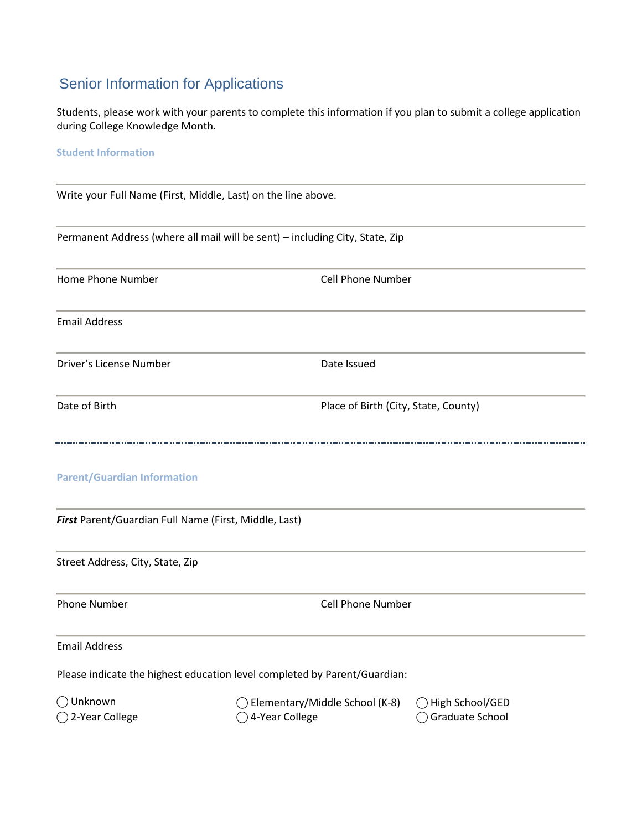## Senior Information for Applications

Students, please work with your parents to complete this information if you plan to submit a college application during College Knowledge Month.

## **Student Information**

Write your Full Name (First, Middle, Last) on the line above. Permanent Address (where all mail will be sent) – including City, State, Zip Home Phone Number Cell Phone Number Email Address Driver's License Number Date Issued Date of Birth **Place of Birth (City, State, County) Parent/Guardian Information** *First* Parent/Guardian Full Name (First, Middle, Last) Street Address, City, State, Zip Phone Number **Cell Phone Number** Cell Phone Number Email Address Please indicate the highest education level completed by Parent/Guardian: ⃝ Unknown ⃝ Elementary/Middle School (K-8) ⃝ High School/GED  $\bigcirc$  2-Year College  $\bigcirc$  4-Year College  $\bigcirc$  Graduate School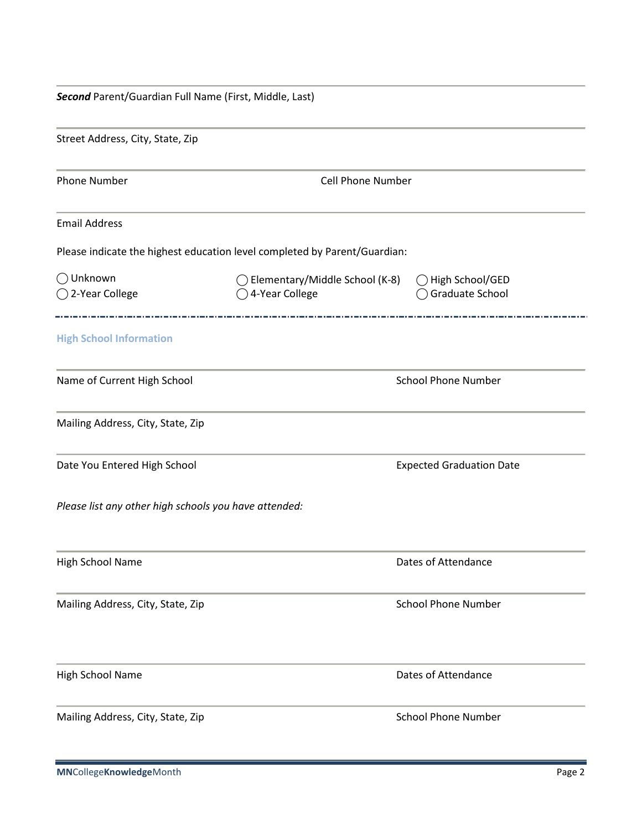| Second Parent/Guardian Full Name (First, Middle, Last) |                                                                           |                                    |  |  |
|--------------------------------------------------------|---------------------------------------------------------------------------|------------------------------------|--|--|
| Street Address, City, State, Zip                       |                                                                           |                                    |  |  |
| <b>Phone Number</b>                                    | <b>Cell Phone Number</b>                                                  |                                    |  |  |
| <b>Email Address</b>                                   |                                                                           |                                    |  |  |
|                                                        | Please indicate the highest education level completed by Parent/Guardian: |                                    |  |  |
| $\bigcirc$ Unknown<br>◯ 2-Year College                 | ◯ Elementary/Middle School (K-8)<br>○ 4-Year College                      | High School/GED<br>Graduate School |  |  |
| <b>High School Information</b>                         |                                                                           |                                    |  |  |
| Name of Current High School                            |                                                                           | <b>School Phone Number</b>         |  |  |
| Mailing Address, City, State, Zip                      |                                                                           |                                    |  |  |
| Date You Entered High School                           |                                                                           | <b>Expected Graduation Date</b>    |  |  |
| Please list any other high schools you have attended:  |                                                                           |                                    |  |  |
| High School Name                                       |                                                                           | Dates of Attendance                |  |  |
| Mailing Address, City, State, Zip                      |                                                                           | <b>School Phone Number</b>         |  |  |
| High School Name                                       |                                                                           | Dates of Attendance                |  |  |
| Mailing Address, City, State, Zip                      |                                                                           | <b>School Phone Number</b>         |  |  |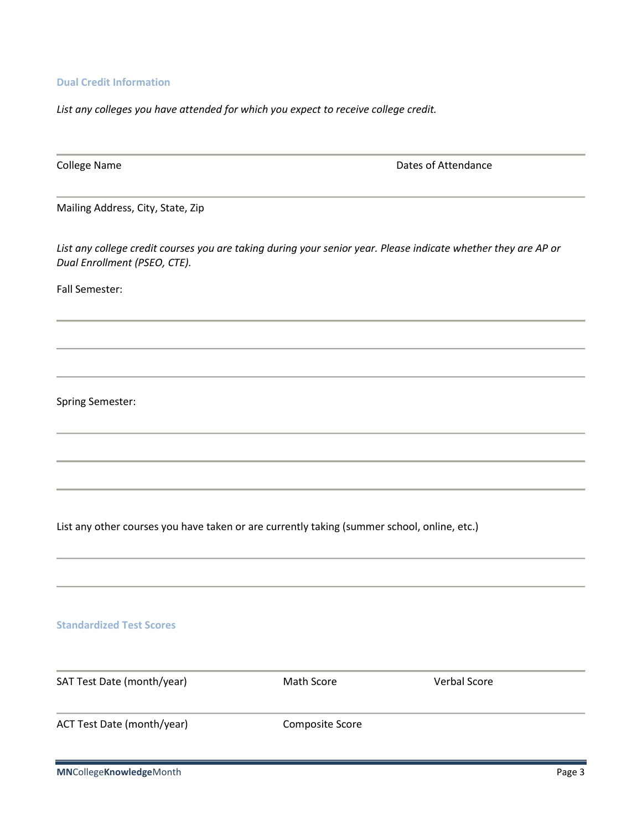**Dual Credit Information**

*List any colleges you have attended for which you expect to receive college credit.*

College Name **College Name Dates of Attendance** Mailing Address, City, State, Zip *List any college credit courses you are taking during your senior year. Please indicate whether they are AP or Dual Enrollment (PSEO, CTE).* Fall Semester: Spring Semester: List any other courses you have taken or are currently taking (summer school, online, etc.) **Standardized Test Scores** SAT Test Date (month/year) Math Score Verbal Score ACT Test Date (month/year) Composite Score